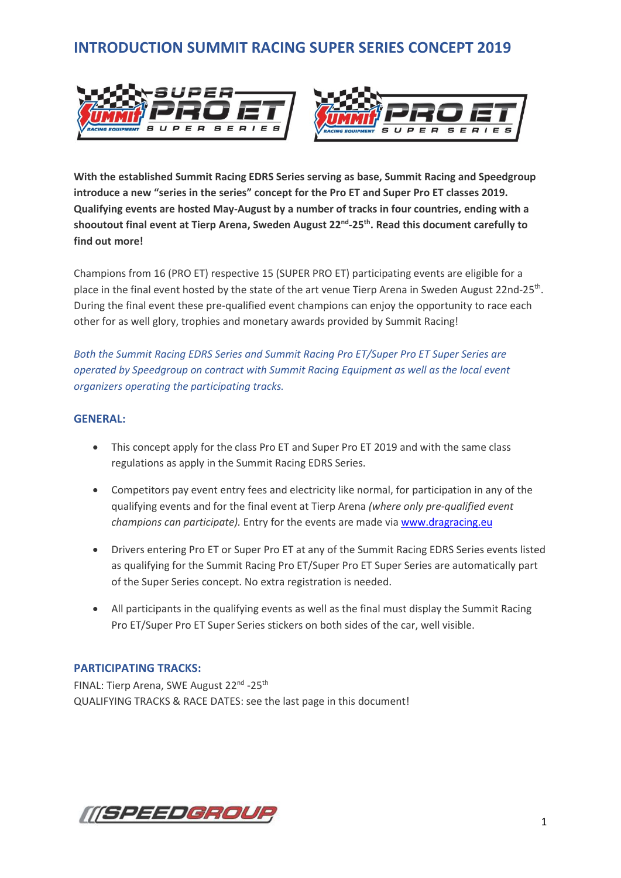# **INTRODUCTION SUMMIT RACING SUPER SERIES CONCEPT 2019**





**With the established Summit Racing EDRS Series serving as base, Summit Racing and Speedgroup introduce a new "series in the series" concept for the Pro ET and Super Pro ET classes 2019. Qualifying events are hosted May-August by a number of tracks in four countries, ending with a shooutout final event at Tierp Arena, Sweden August 22 nd -25 th . Read this document carefully to find out more!**

Champions from 16 (PRO ET) respective 15 (SUPER PRO ET) participating events are eligible for a place in the final event hosted by the state of the art venue Tierp Arena in Sweden August 22nd-25<sup>th</sup>. During the final event these pre-qualified event champions can enjoy the opportunity to race each other for as well glory, trophies and monetary awards provided by Summit Racing!

*Both the Summit Racing EDRS Series and Summit Racing Pro ET/Super Pro ET Super Series are operated by Speedgroup on contract with Summit Racing Equipment as well as the local event organizers operating the participating tracks.* 

#### **GENERAL:**

- This concept apply for the class Pro ET and Super Pro ET 2019 and with the same class regulations as apply in the Summit Racing EDRS Series.
- Competitors pay event entry fees and electricity like normal, for participation in any of the qualifying events and for the final event at Tierp Arena *(where only pre-qualified event champions can participate).* Entry for the events are made vi[a www.dragracing.eu](http://www.dragracing.eu/)
- Drivers entering Pro ET or Super Pro ET at any of the Summit Racing EDRS Series events listed as qualifying for the Summit Racing Pro ET/Super Pro ET Super Series are automatically part of the Super Series concept. No extra registration is needed.
- All participants in the qualifying events as well as the final must display the Summit Racing Pro ET/Super Pro ET Super Series stickers on both sides of the car, well visible.

### **PARTICIPATING TRACKS:**

FINAL: Tierp Arena, SWE August 22<sup>nd</sup> -25<sup>th</sup> QUALIFYING TRACKS & RACE DATES: see the last page in this document!

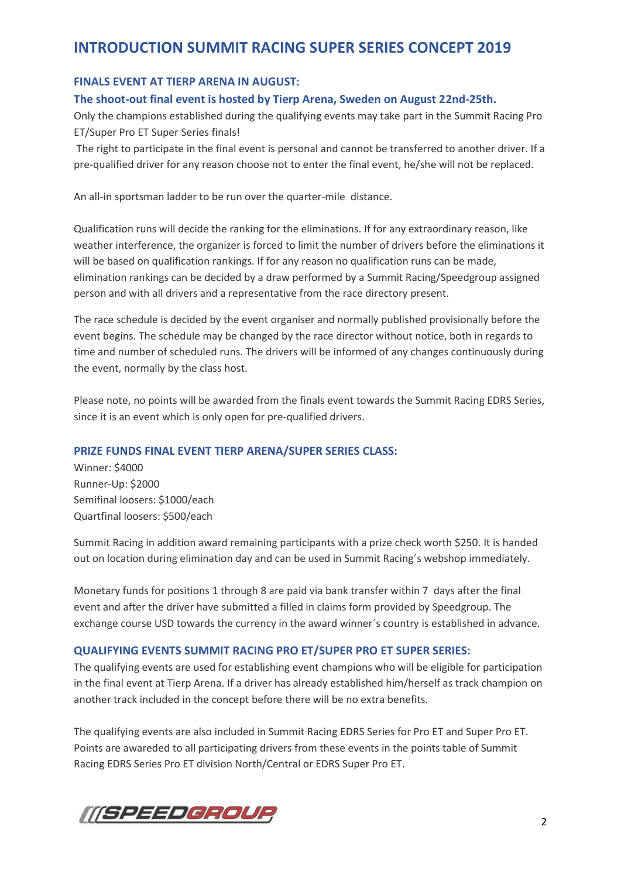## **INTRODUCTION SUMMIT RACING SUPER SERIES CONCEPT 2019**

### **FINALS EVENT AT TIERP ARENA IN AUGUST:**

### **The shoot-out final event is hosted by Tierp Arena, Sweden on August 22nd-25th.**

Only the champions established during the qualifying events may take part in the Summit Racing Pro ET/Super Pro ET Super Series finals!

The right to participate in the final event is personal and cannot be transferred to another driver. If a pre-qualified driver for any reason choose not to enter the final event, he/she will not be replaced.

An all-in sportsman ladder to be run over the quarter-mile distance.

Qualification runs will decide the ranking for the eliminations. If for any extraordinary reason, like weather interference, the organizer is forced to limit the number of drivers before the eliminations it will be based on qualification rankings. If for any reason no qualification runs can be made, elimination rankings can be decided by a draw performed by a Summit Racing/Speedgroup assigned person and with all drivers and a representative from the race directory present.

The race schedule is decided by the event organiser and normally published provisionally before the event begins. The schedule may be changed by the race director without notice, both in regards to time and number of scheduled runs. The drivers will be informed of any changes continuously during the event, normally by the class host.

Please note, no points will be awarded from the finals event towards the Summit Racing EDRS Series, since it is an event which is only open for pre-qualified drivers.

### **PRIZE FUNDS FINAL EVENT TIERP ARENA/SUPER SERIES CLASS:**

Winner: \$4000 Runner-Up: \$2000 Semifinal loosers: \$1000/each Quartfinal loosers: \$500/each

Summit Racing in addition award remaining participants with a prize check worth \$250. It is handed out on location during elimination day and can be used in Summit Racing´s webshop immediately.

Monetary funds for positions 1 through 8 are paid via bank transfer within 7 days after the final event and after the driver have submitted a filled in claims form provided by Speedgroup. The exchange course USD towards the currency in the award winner´s country is established in advance.

### **QUALIFYING EVENTS SUMMIT RACING PRO ET/SUPER PRO ET SUPER SERIES:**

The qualifying events are used for establishing event champions who will be eligible for participation in the final event at Tierp Arena. If a driver has already established him/herself as track champion on another track included in the concept before there will be no extra benefits.

The qualifying events are also included in Summit Racing EDRS Series for Pro ET and Super Pro ET. Points are awareded to all participating drivers from these events in the points table of Summit Racing EDRS Series Pro ET division North/Central or EDRS Super Pro ET.